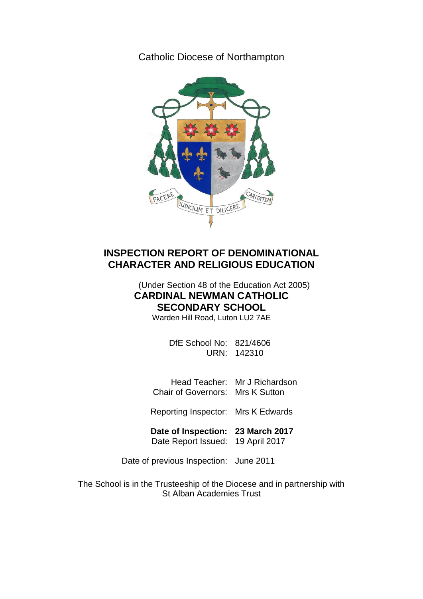## Catholic Diocese of Northampton



# **INSPECTION REPORT OF DENOMINATIONAL CHARACTER AND RELIGIOUS EDUCATION**

# (Under Section 48 of the Education Act 2005) **CARDINAL NEWMAN CATHOLIC SECONDARY SCHOOL**

Warden Hill Road, Luton LU2 7AE

DfE School No: 821/4606 URN: 142310

Head Teacher: Mr J Richardson Chair of Governors: Mrs K Sutton

Reporting Inspector: Mrs K Edwards

**Date of Inspection: 23 March 2017** Date Report Issued: 19 April 2017

Date of previous Inspection: June 2011

The School is in the Trusteeship of the Diocese and in partnership with St Alban Academies Trust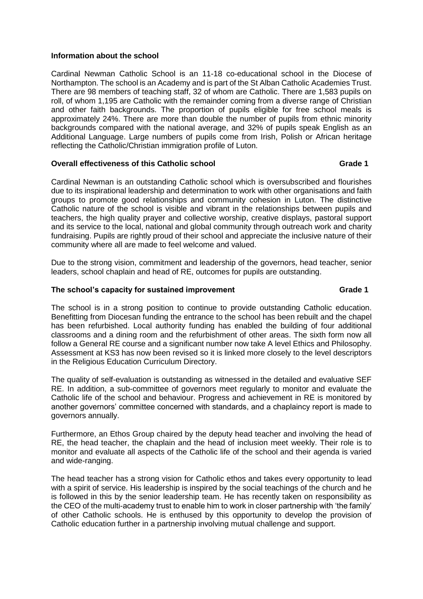### **Information about the school**

Cardinal Newman Catholic School is an 11-18 co-educational school in the Diocese of Northampton. The school is an Academy and is part of the St Alban Catholic Academies Trust. There are 98 members of teaching staff, 32 of whom are Catholic. There are 1,583 pupils on roll, of whom 1,195 are Catholic with the remainder coming from a diverse range of Christian and other faith backgrounds. The proportion of pupils eligible for free school meals is approximately 24%. There are more than double the number of pupils from ethnic minority backgrounds compared with the national average, and 32% of pupils speak English as an Additional Language. Large numbers of pupils come from Irish, Polish or African heritage reflecting the Catholic/Christian immigration profile of Luton.

### **Overall effectiveness of this Catholic school Grade 1**

Cardinal Newman is an outstanding Catholic school which is oversubscribed and flourishes due to its inspirational leadership and determination to work with other organisations and faith groups to promote good relationships and community cohesion in Luton. The distinctive Catholic nature of the school is visible and vibrant in the relationships between pupils and teachers, the high quality prayer and collective worship, creative displays, pastoral support and its service to the local, national and global community through outreach work and charity fundraising. Pupils are rightly proud of their school and appreciate the inclusive nature of their community where all are made to feel welcome and valued.

Due to the strong vision, commitment and leadership of the governors, head teacher, senior leaders, school chaplain and head of RE, outcomes for pupils are outstanding.

### **The school's capacity for sustained improvement <b>Grade 1** Grade 1

The school is in a strong position to continue to provide outstanding Catholic education. Benefitting from Diocesan funding the entrance to the school has been rebuilt and the chapel has been refurbished. Local authority funding has enabled the building of four additional classrooms and a dining room and the refurbishment of other areas. The sixth form now all follow a General RE course and a significant number now take A level Ethics and Philosophy. Assessment at KS3 has now been revised so it is linked more closely to the level descriptors in the Religious Education Curriculum Directory.

The quality of self-evaluation is outstanding as witnessed in the detailed and evaluative SEF RE. In addition, a sub-committee of governors meet regularly to monitor and evaluate the Catholic life of the school and behaviour. Progress and achievement in RE is monitored by another governors' committee concerned with standards, and a chaplaincy report is made to governors annually.

Furthermore, an Ethos Group chaired by the deputy head teacher and involving the head of RE, the head teacher, the chaplain and the head of inclusion meet weekly. Their role is to monitor and evaluate all aspects of the Catholic life of the school and their agenda is varied and wide-ranging.

The head teacher has a strong vision for Catholic ethos and takes every opportunity to lead with a spirit of service. His leadership is inspired by the social teachings of the church and he is followed in this by the senior leadership team. He has recently taken on responsibility as the CEO of the multi-academy trust to enable him to work in closer partnership with 'the family' of other Catholic schools. He is enthused by this opportunity to develop the provision of Catholic education further in a partnership involving mutual challenge and support.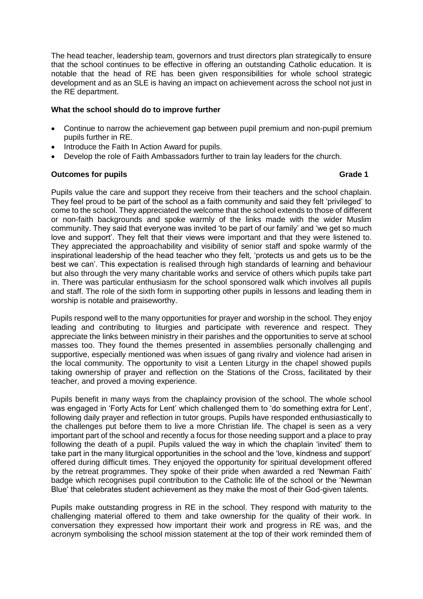The head teacher, leadership team, governors and trust directors plan strategically to ensure that the school continues to be effective in offering an outstanding Catholic education. It is notable that the head of RE has been given responsibilities for whole school strategic development and as an SLE is having an impact on achievement across the school not just in the RE department.

### **What the school should do to improve further**

- Continue to narrow the achievement gap between pupil premium and non-pupil premium pupils further in RE.
- Introduce the Faith In Action Award for pupils.
- Develop the role of Faith Ambassadors further to train lay leaders for the church.

### **Outcomes for pupils Grade 1**

Pupils value the care and support they receive from their teachers and the school chaplain. They feel proud to be part of the school as a faith community and said they felt 'privileged' to come to the school. They appreciated the welcome that the school extends to those of different or non-faith backgrounds and spoke warmly of the links made with the wider Muslim community. They said that everyone was invited 'to be part of our family' and 'we get so much love and support'. They felt that their views were important and that they were listened to. They appreciated the approachability and visibility of senior staff and spoke warmly of the inspirational leadership of the head teacher who they felt, 'protects us and gets us to be the best we can'. This expectation is realised through high standards of learning and behaviour but also through the very many charitable works and service of others which pupils take part in. There was particular enthusiasm for the school sponsored walk which involves all pupils and staff. The role of the sixth form in supporting other pupils in lessons and leading them in worship is notable and praiseworthy.

Pupils respond well to the many opportunities for prayer and worship in the school. They enjoy leading and contributing to liturgies and participate with reverence and respect. They appreciate the links between ministry in their parishes and the opportunities to serve at school masses too. They found the themes presented in assemblies personally challenging and supportive, especially mentioned was when issues of gang rivalry and violence had arisen in the local community. The opportunity to visit a Lenten Liturgy in the chapel showed pupils taking ownership of prayer and reflection on the Stations of the Cross, facilitated by their teacher, and proved a moving experience.

Pupils benefit in many ways from the chaplaincy provision of the school. The whole school was engaged in 'Forty Acts for Lent' which challenged them to 'do something extra for Lent', following daily prayer and reflection in tutor groups. Pupils have responded enthusiastically to the challenges put before them to live a more Christian life. The chapel is seen as a very important part of the school and recently a focus for those needing support and a place to pray following the death of a pupil. Pupils valued the way in which the chaplain 'invited' them to take part in the many liturgical opportunities in the school and the 'love, kindness and support' offered during difficult times. They enjoyed the opportunity for spiritual development offered by the retreat programmes. They spoke of their pride when awarded a red 'Newman Faith' badge which recognises pupil contribution to the Catholic life of the school or the 'Newman Blue' that celebrates student achievement as they make the most of their God-given talents.

Pupils make outstanding progress in RE in the school. They respond with maturity to the challenging material offered to them and take ownership for the quality of their work. In conversation they expressed how important their work and progress in RE was, and the acronym symbolising the school mission statement at the top of their work reminded them of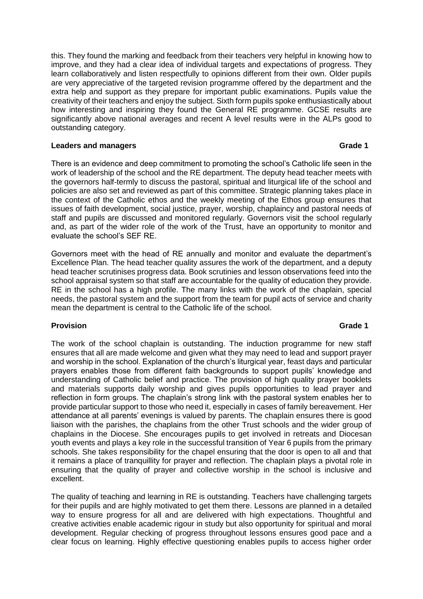this. They found the marking and feedback from their teachers very helpful in knowing how to improve, and they had a clear idea of individual targets and expectations of progress. They learn collaboratively and listen respectfully to opinions different from their own. Older pupils are very appreciative of the targeted revision programme offered by the department and the extra help and support as they prepare for important public examinations. Pupils value the creativity of their teachers and enjoy the subject. Sixth form pupils spoke enthusiastically about how interesting and inspiring they found the General RE programme. GCSE results are significantly above national averages and recent A level results were in the ALPs good to outstanding category.

#### **Leaders and managers Grade 1**

There is an evidence and deep commitment to promoting the school's Catholic life seen in the work of leadership of the school and the RE department. The deputy head teacher meets with the governors half-termly to discuss the pastoral, spiritual and liturgical life of the school and policies are also set and reviewed as part of this committee. Strategic planning takes place in the context of the Catholic ethos and the weekly meeting of the Ethos group ensures that issues of faith development, social justice, prayer, worship, chaplaincy and pastoral needs of staff and pupils are discussed and monitored regularly. Governors visit the school regularly and, as part of the wider role of the work of the Trust, have an opportunity to monitor and evaluate the school's SEF RE.

Governors meet with the head of RE annually and monitor and evaluate the department's Excellence Plan. The head teacher quality assures the work of the department, and a deputy head teacher scrutinises progress data. Book scrutinies and lesson observations feed into the school appraisal system so that staff are accountable for the quality of education they provide. RE in the school has a high profile. The many links with the work of the chaplain, special needs, the pastoral system and the support from the team for pupil acts of service and charity mean the department is central to the Catholic life of the school.

### **Provision Grade 1**

#### The work of the school chaplain is outstanding. The induction programme for new staff ensures that all are made welcome and given what they may need to lead and support prayer and worship in the school. Explanation of the church's liturgical year, feast days and particular prayers enables those from different faith backgrounds to support pupils' knowledge and understanding of Catholic belief and practice. The provision of high quality prayer booklets and materials supports daily worship and gives pupils opportunities to lead prayer and reflection in form groups. The chaplain's strong link with the pastoral system enables her to provide particular support to those who need it, especially in cases of family bereavement. Her attendance at all parents' evenings is valued by parents. The chaplain ensures there is good liaison with the parishes, the chaplains from the other Trust schools and the wider group of chaplains in the Diocese. She encourages pupils to get involved in retreats and Diocesan youth events and plays a key role in the successful transition of Year 6 pupils from the primary schools. She takes responsibility for the chapel ensuring that the door is open to all and that it remains a place of tranquillity for prayer and reflection. The chaplain plays a pivotal role in ensuring that the quality of prayer and collective worship in the school is inclusive and excellent.

The quality of teaching and learning in RE is outstanding. Teachers have challenging targets for their pupils and are highly motivated to get them there. Lessons are planned in a detailed way to ensure progress for all and are delivered with high expectations. Thoughtful and creative activities enable academic rigour in study but also opportunity for spiritual and moral development. Regular checking of progress throughout lessons ensures good pace and a clear focus on learning. Highly effective questioning enables pupils to access higher order